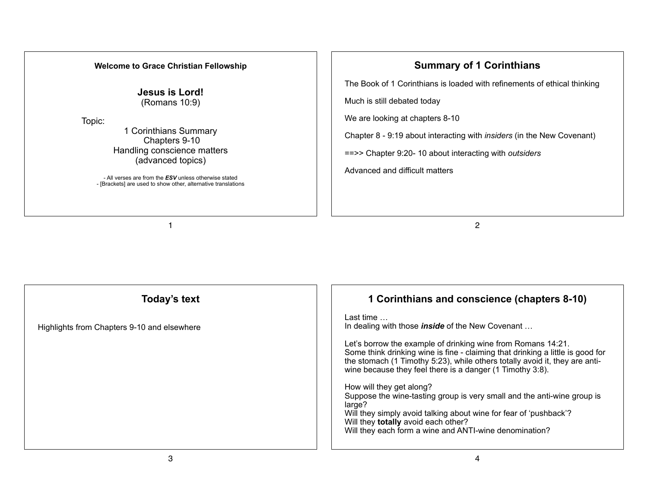#### **Welcome to Grace Christian Fellowship**

**Jesus is Lord!**  (Romans 10:9)

Topic:

1 Corinthians Summary Chapters 9-10 Handling conscience matters (advanced topics)

- All verses are from the *ESV* unless otherwise stated - [Brackets] are used to show other, alternative translations

1

# **Summary of 1 Corinthians**

The Book of 1 Corinthians is loaded with refinements of ethical thinking

Much is still debated today

We are looking at chapters 8-10

Chapter 8 - 9:19 about interacting with *insiders* (in the New Covenant)

==>> Chapter 9:20- 10 about interacting with *outsiders*

Advanced and difficult matters

2

| Today's text                                | 1 Corinthians and conscience (chapters 8-10)                                                                                                                                                                                                                                               |
|---------------------------------------------|--------------------------------------------------------------------------------------------------------------------------------------------------------------------------------------------------------------------------------------------------------------------------------------------|
| Highlights from Chapters 9-10 and elsewhere | Last time<br>In dealing with those <i>inside</i> of the New Covenant                                                                                                                                                                                                                       |
|                                             | Let's borrow the example of drinking wine from Romans 14:21.<br>Some think drinking wine is fine - claiming that drinking a little is good for<br>the stomach (1 Timothy 5:23), while others totally avoid it, they are anti-<br>wine because they feel there is a danger (1 Timothy 3:8). |
|                                             | How will they get along?<br>Suppose the wine-tasting group is very small and the anti-wine group is<br>large?<br>Will they simply avoid talking about wine for fear of 'pushback'?<br>Will they totally avoid each other?<br>Will they each form a wine and ANTI-wine denomination?        |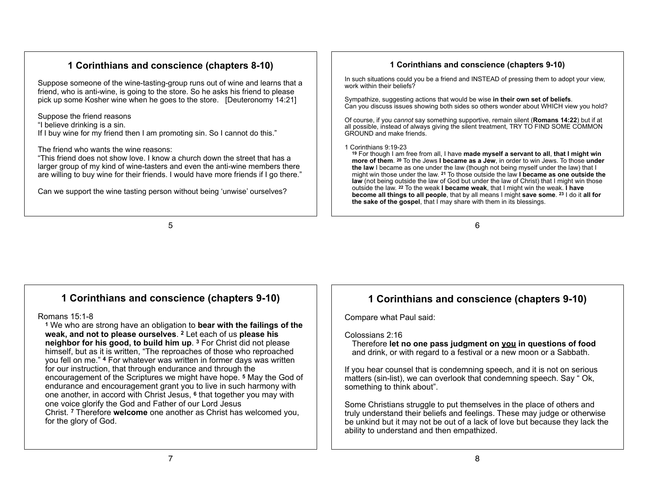# **1 Corinthians and conscience (chapters 8-10)**

Suppose someone of the wine-tasting-group runs out of wine and learns that a friend, who is anti-wine, is going to the store. So he asks his friend to please pick up some Kosher wine when he goes to the store. [Deuteronomy 14:21]

Suppose the friend reasons

"I believe drinking is a sin.

If I buy wine for my friend then I am promoting sin. So I cannot do this."

The friend who wants the wine reasons:

"This friend does not show love. I know a church down the street that has a larger group of my kind of wine-tasters and even the anti-wine members there are willing to buy wine for their friends. I would have more friends if I go there."

Can we support the wine tasting person without being 'unwise' ourselves?

#### **1 Corinthians and conscience (chapters 9-10)**

In such situations could you be a friend and INSTEAD of pressing them to adopt your view, work within their beliefs?

Sympathize, suggesting actions that would be wise **in their own set of beliefs**. Can you discuss issues showing both sides so others wonder about WHICH view you hold?

Of course, if you *cannot* say something supportive, remain silent (**Romans 14:22**) but if at all possible, instead of always giving the silent treatment, TRY TO FIND SOME COMMON GROUND and make friends.

#### 1 Corinthians 9:19-23

**<sup>19</sup>** For though I am free from all, I have **made myself a servant to all**, **that I might win more of them**. **20** To the Jews **I became as a Jew**, in order to win Jews. To those **under the law** I became as one under the law (though not being myself under the law) that I might win those under the law. **21** To those outside the law **I became as one outside the law** (not being outside the law of God but under the law of Christ) that I might win those outside the law. **22** To the weak **I became weak**, that I might win the weak. **I have become all things to all people**, that by all means I might **save some**. **23** I do it **all for the sake of the gospel**, that I may share with them in its blessings.

6

5

# **1 Corinthians and conscience (chapters 9-10)**

#### Romans 15:1-8

**<sup>1</sup>** We who are strong have an obligation to **bear with the failings of the weak, and not to please ourselves**. **2** Let each of us **please his neighbor for his good, to build him up**. **3** For Christ did not please himself, but as it is written, "The reproaches of those who reproached you fell on me." **4** For whatever was written in former days was written for our instruction, that through endurance and through the encouragement of the Scriptures we might have hope. **5** May the God of endurance and encouragement grant you to live in such harmony with one another, in accord with Christ Jesus, **6** that together you may with one voice glorify the God and Father of our Lord Jesus Christ. **7** Therefore **welcome** one another as Christ has welcomed you, for the glory of God.

# **1 Corinthians and conscience (chapters 9-10)**

Compare what Paul said:

#### Colossians 2:16

Therefore **let no one pass judgment on you in questions of food** and drink, or with regard to a festival or a new moon or a Sabbath.

If you hear counsel that is condemning speech, and it is not on serious matters (sin-list), we can overlook that condemning speech. Say " Ok, something to think about".

Some Christians struggle to put themselves in the place of others and truly understand their beliefs and feelings. These may judge or otherwise be unkind but it may not be out of a lack of love but because they lack the ability to understand and then empathized.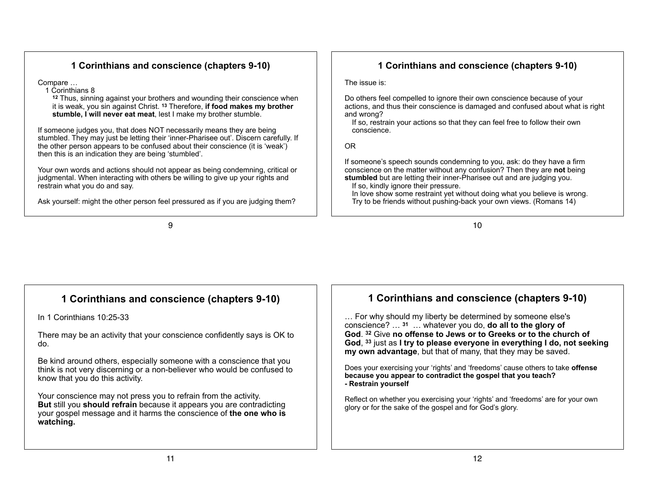# **1 Corinthians and conscience (chapters 9-10)**

Compare …

1 Corinthians 8

**<sup>12</sup>** Thus, sinning against your brothers and wounding their conscience when it is weak, you sin against Christ. **13** Therefore, **if food makes my brother stumble, I will never eat meat**, lest I make my brother stumble.

If someone judges you, that does NOT necessarily means they are being stumbled. They may just be letting their 'inner-Pharisee out'. Discern carefully. If the other person appears to be confused about their conscience (it is 'weak') then this is an indication they are being 'stumbled'.

Your own words and actions should not appear as being condemning, critical or judgmental. When interacting with others be willing to give up your rights and restrain what you do and say.

Ask yourself: might the other person feel pressured as if you are judging them?

9

10

In love show some restraint yet without doing what you believe is wrong. Try to be friends without pushing-back your own views. (Romans 14)

**1 Corinthians and conscience (chapters 9-10)**

Do others feel compelled to ignore their own conscience because of your actions, and thus their conscience is damaged and confused about what is right

If so, restrain your actions so that they can feel free to follow their own

If someone's speech sounds condemning to you, ask: do they have a firm conscience on the matter without any confusion? Then they are **not** being **stumbled** but are letting their inner-Pharisee out and are judging you.

The issue is:

and wrong?

OR

conscience.

If so, kindly ignore their pressure.

# **1 Corinthians and conscience (chapters 9-10)**

In 1 Corinthians 10:25-33

There may be an activity that your conscience confidently says is OK to do.

Be kind around others, especially someone with a conscience that you think is not very discerning or a non-believer who would be confused to know that you do this activity.

Your conscience may not press you to refrain from the activity. **But** still you **should refrain** because it appears you are contradicting your gospel message and it harms the conscience of **the one who is watching.**

# **1 Corinthians and conscience (chapters 9-10)**

… For why should my liberty be determined by someone else's conscience? … **<sup>31</sup>** … whatever you do, **do all to the glory of God**. **32** Give **no offense to Jews or to Greeks or to the church of God**, **33** just as **I try to please everyone in everything I do, not seeking my own advantage**, but that of many, that they may be saved.

Does your exercising your 'rights' and 'freedoms' cause others to take **offense because you appear to contradict the gospel that you teach? - Restrain yourself**

Reflect on whether you exercising your 'rights' and 'freedoms' are for your own glory or for the sake of the gospel and for God's glory.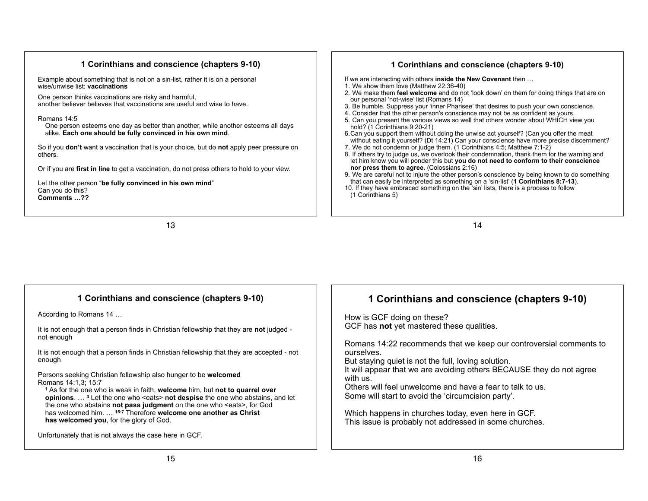#### **1 Corinthians and conscience (chapters 9-10)**

Example about something that is not on a sin-list, rather it is on a personal wise/unwise list: **vaccinations**

One person thinks vaccinations are risky and harmful, another believer believes that vaccinations are useful and wise to have.

#### Romans 14:5

One person esteems one day as better than another, while another esteems all days alike. **Each one should be fully convinced in his own mind**.

So if you **don't** want a vaccination that is your choice, but do **not** apply peer pressure on others.

Or if you are **first in line** to get a vaccination, do not press others to hold to your view.

Let the other person "**be fully convinced in his own mind**" Can you do this? **Comments …??**

#### **1 Corinthians and conscience (chapters 9-10)**

If we are interacting with others **inside the New Covenant** then …

- 1. We show them love (Matthew 22:36-40)
- 2. We make them **feel welcome** and do not 'look down' on them for doing things that are on our personal 'not-wise' list (Romans 14)
- 3. Be humble. Suppress your 'inner Pharisee' that desires to push your own conscience.
- 4. Consider that the other person's conscience may not be as confident as yours.
- 5. Can you present the various views so well that others wonder about WHICH view you hold? (1 Corinthians 9:20-21)
- 6.Can you support them without doing the unwise act yourself? (Can you offer the meat without eating it yourself? (Dt 14:21) Can your conscience have more precise discernment?
- 7. We do not condemn or judge them. (1 Corinthians 4:5; Matthew 7:1-2)
- 8. If others try to judge us, we overlook their condemnation, thank them for the warning and let him know you will ponder this but **you do not need to conform to their conscience nor press them to agree.** (Colossians 2:16)
- 9. We are careful not to injure the other person's conscience by being known to do something that can easily be interpreted as something on a 'sin-list' (**1 Corinthians 8:7-13**).

14

10. If they have embraced something on the 'sin' lists, there is a process to follow (1 Corinthians 5)

13

#### **1 Corinthians and conscience (chapters 9-10)**

According to Romans 14 …

It is not enough that a person finds in Christian fellowship that they are **not** judged not enough

It is not enough that a person finds in Christian fellowship that they are accepted - not enough

Persons seeking Christian fellowship also hunger to be **welcomed** Romans 14:1,3; 15:7

**<sup>1</sup>** As for the one who is weak in faith, **welcome** him, but **not to quarrel over opinions**. ... <sup>3</sup> Let the one who <eats> **not despise** the one who abstains, and let the one who abstains **not pass judgment** on the one who <eats>, for God has welcomed him. … **15:7** Therefore **welcome one another as Christ has welcomed you**, for the glory of God.

Unfortunately that is not always the case here in GCF.

# **1 Corinthians and conscience (chapters 9-10)**

How is GCF doing on these? GCF has **not** yet mastered these qualities.

Romans 14:22 recommends that we keep our controversial comments to ourselves.

But staying quiet is not the full, loving solution.

It will appear that we are avoiding others BECAUSE they do not agree with us.

Others will feel unwelcome and have a fear to talk to us. Some will start to avoid the 'circumcision party'.

Which happens in churches today, even here in GCF. This issue is probably not addressed in some churches.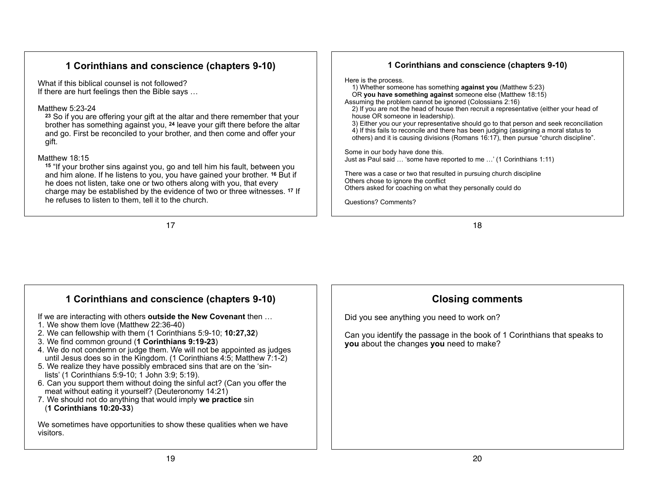# **1 Corinthians and conscience (chapters 9-10)**

What if this biblical counsel is not followed? If there are hurt feelings then the Bible says …

#### Matthew 5:23-24

**<sup>23</sup>** So if you are offering your gift at the altar and there remember that your brother has something against you, **24** leave your gift there before the altar and go. First be reconciled to your brother, and then come and offer your gift.

#### Matthew 18:15

**<sup>15</sup>** "If your brother sins against you, go and tell him his fault, between you and him alone. If he listens to you, you have gained your brother. **16** But if he does not listen, take one or two others along with you, that every charge may be established by the evidence of two or three witnesses. **17** If he refuses to listen to them, tell it to the church.

17

#### **1 Corinthians and conscience (chapters 9-10)**

Here is the process.

- 1) Whether someone has something **against you** (Matthew 5:23) OR **you have something against** someone else (Matthew 18:15)
- Assuming the problem cannot be ignored (Colossians 2:16)

2) If you are not the head of house then recruit a representative (either your head of house OR someone in leadership).

3) Either you our your representative should go to that person and seek reconciliation

4) If this fails to reconcile and there has been judging (assigning a moral status to others) and it is causing divisions (Romans 16:17), then pursue "church discipline".

Some in our body have done this. Just as Paul said … 'some have reported to me …' (1 Corinthians 1:11)

There was a case or two that resulted in pursuing church discipline Others chose to ignore the conflict Others asked for coaching on what they personally could do

Questions? Comments?

18

### **1 Corinthians and conscience (chapters 9-10)**

If we are interacting with others **outside the New Covenant** then …

- 1. We show them love (Matthew 22:36-40)
- 2. We can fellowship with them (1 Corinthians 5:9-10; **10:27,32**)
- 3. We find common ground (**1 Corinthians 9:19-23**)
- 4. We do not condemn or judge them. We will not be appointed as judges until Jesus does so in the Kingdom. (1 Corinthians 4:5; Matthew 7:1-2)
- 5. We realize they have possibly embraced sins that are on the 'sinlists' (1 Corinthians 5:9-10; 1 John 3:9; 5:19).
- 6. Can you support them without doing the sinful act? (Can you offer the meat without eating it yourself? (Deuteronomy 14:21)
- 7. We should not do anything that would imply **we practice** sin (**1 Corinthians 10:20-33**)

We sometimes have opportunities to show these qualities when we have visitors.

# **Closing comments**

Did you see anything you need to work on?

Can you identify the passage in the book of 1 Corinthians that speaks to **you** about the changes **you** need to make?